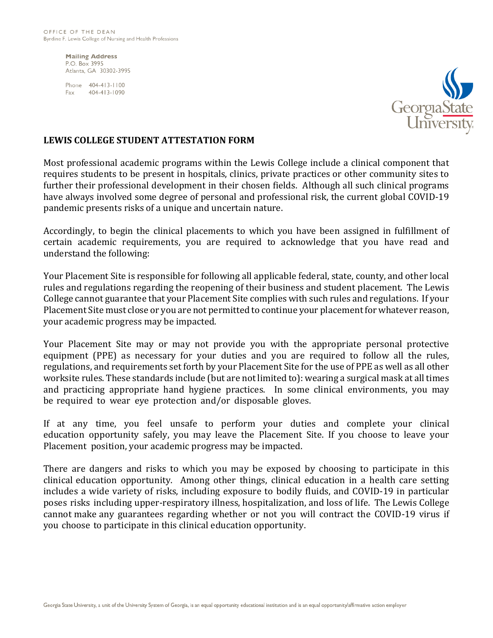**Mailing Address** P.O. Box 3995 Atlanta, GA 30302-3995

Phone 404-413-1100 Fax 404-413-1090



## **LEWIS COLLEGE STUDENT ATTESTATION FORM**

Most professional academic programs within the Lewis College include a clinical component that requires students to be present in hospitals, clinics, private practices or other community sites to further their professional development in their chosen fields. Although all such clinical programs have always involved some degree of personal and professional risk, the current global COVID-19 pandemic presents risks of a unique and uncertain nature.

Accordingly, to begin the clinical placements to which you have been assigned in fulfillment of certain academic requirements, you are required to acknowledge that you have read and understand the following:

Your Placement Site is responsible for following all applicable federal, state, county, and other local rules and regulations regarding the reopening of their business and student placement. The Lewis College cannot guarantee that your Placement Site complies with such rules and regulations. If your Placement Site must close or you are not permitted to continue your placement for whatever reason, your academic progress may be impacted.

Your Placement Site may or may not provide you with the appropriate personal protective equipment (PPE) as necessary for your duties and you are required to follow all the rules, regulations, and requirements set forth by your Placement Site for the use of PPE as well as all other worksite rules. These standards include (but are not limited to): wearing a surgical mask at all times and practicing appropriate hand hygiene practices. In some clinical environments, you may be required to wear eye protection and/or disposable gloves.

If at any time, you feel unsafe to perform your duties and complete your clinical education opportunity safely, you may leave the Placement Site. If you choose to leave your Placement position, your academic progress may be impacted.

There are dangers and risks to which you may be exposed by choosing to participate in this clinical education opportunity. Among other things, clinical education in a health care setting includes a wide variety of risks, including exposure to bodily fluids, and COVID-19 in particular poses risks including upper-respiratory illness, hospitalization, and loss of life. The Lewis College cannot make any guarantees regarding whether or not you will contract the COVID-19 virus if you choose to participate in this clinical education opportunity.